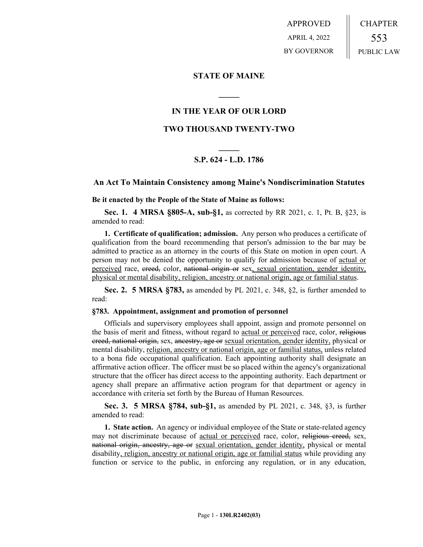APPROVED APRIL 4, 2022 BY GOVERNOR CHAPTER 553 PUBLIC LAW

**STATE OF MAINE**

# **IN THE YEAR OF OUR LORD**

**\_\_\_\_\_**

# **TWO THOUSAND TWENTY-TWO**

# **\_\_\_\_\_ S.P. 624 - L.D. 1786**

# **An Act To Maintain Consistency among Maine's Nondiscrimination Statutes**

**Be it enacted by the People of the State of Maine as follows:**

**Sec. 1. 4 MRSA §805-A, sub-§1,** as corrected by RR 2021, c. 1, Pt. B, §23, is amended to read:

**1. Certificate of qualification; admission.** Any person who produces a certificate of qualification from the board recommending that person's admission to the bar may be admitted to practice as an attorney in the courts of this State on motion in open court. A person may not be denied the opportunity to qualify for admission because of actual or perceived race, creed, color, national origin or sex, sexual orientation, gender identity, physical or mental disability, religion, ancestry or national origin, age or familial status.

**Sec. 2. 5 MRSA §783,** as amended by PL 2021, c. 348, §2, is further amended to read:

#### **§783. Appointment, assignment and promotion of personnel**

Officials and supervisory employees shall appoint, assign and promote personnel on the basis of merit and fitness, without regard to actual or perceived race, color, religious creed, national origin, sex, ancestry, age or sexual orientation, gender identity, physical or mental disability, religion, ancestry or national origin, age or familial status, unless related to a bona fide occupational qualification. Each appointing authority shall designate an affirmative action officer. The officer must be so placed within the agency's organizational structure that the officer has direct access to the appointing authority. Each department or agency shall prepare an affirmative action program for that department or agency in accordance with criteria set forth by the Bureau of Human Resources.

**Sec. 3. 5 MRSA §784, sub-§1,** as amended by PL 2021, c. 348, §3, is further amended to read:

**1. State action.** An agency or individual employee of the State or state-related agency may not discriminate because of actual or perceived race, color, religious creed, sex, national origin, ancestry, age or sexual orientation, gender identity, physical or mental disability, religion, ancestry or national origin, age or familial status while providing any function or service to the public, in enforcing any regulation, or in any education,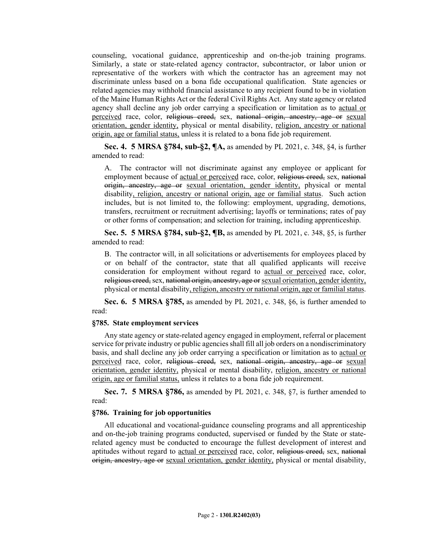counseling, vocational guidance, apprenticeship and on-the-job training programs. Similarly, a state or state-related agency contractor, subcontractor, or labor union or representative of the workers with which the contractor has an agreement may not discriminate unless based on a bona fide occupational qualification. State agencies or related agencies may withhold financial assistance to any recipient found to be in violation of the Maine Human Rights Act or the federal Civil Rights Act. Any state agency or related agency shall decline any job order carrying a specification or limitation as to actual or perceived race, color, religious creed, sex, national origin, ancestry, age or sexual orientation, gender identity, physical or mental disability, religion, ancestry or national origin, age or familial status, unless it is related to a bona fide job requirement.

**Sec. 4. 5 MRSA §784, sub-§2, ¶A,** as amended by PL 2021, c. 348, §4, is further amended to read:

A. The contractor will not discriminate against any employee or applicant for employment because of actual or perceived race, color, religious creed, sex, national origin, ancestry, age or sexual orientation, gender identity, physical or mental disability, religion, ancestry or national origin, age or familial status. Such action includes, but is not limited to, the following: employment, upgrading, demotions, transfers, recruitment or recruitment advertising; layoffs or terminations; rates of pay or other forms of compensation; and selection for training, including apprenticeship.

**Sec. 5. 5 MRSA §784, sub-§2, ¶B,** as amended by PL 2021, c. 348, §5, is further amended to read:

B. The contractor will, in all solicitations or advertisements for employees placed by or on behalf of the contractor, state that all qualified applicants will receive consideration for employment without regard to actual or perceived race, color, religious creed, sex, national origin, ancestry, age or sexual orientation, gender identity, physical or mental disability, religion, ancestry or national origin, age or familial status.

**Sec. 6. 5 MRSA §785,** as amended by PL 2021, c. 348, §6, is further amended to read:

## **§785. State employment services**

Any state agency or state-related agency engaged in employment, referral or placement service for private industry or public agencies shall fill all job orders on a nondiscriminatory basis, and shall decline any job order carrying a specification or limitation as to actual or perceived race, color, religious creed, sex, national origin, ancestry, age or sexual orientation, gender identity, physical or mental disability, religion, ancestry or national origin, age or familial status, unless it relates to a bona fide job requirement.

**Sec. 7. 5 MRSA §786,** as amended by PL 2021, c. 348, §7, is further amended to read:

## **§786. Training for job opportunities**

All educational and vocational-guidance counseling programs and all apprenticeship and on-the-job training programs conducted, supervised or funded by the State or staterelated agency must be conducted to encourage the fullest development of interest and aptitudes without regard to actual or perceived race, color, religious creed, sex, national origin, ancestry, age or sexual orientation, gender identity, physical or mental disability,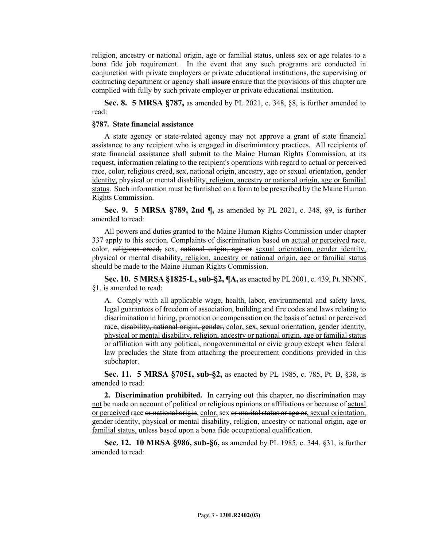religion, ancestry or national origin, age or familial status, unless sex or age relates to a bona fide job requirement. In the event that any such programs are conducted in conjunction with private employers or private educational institutions, the supervising or contracting department or agency shall insure ensure that the provisions of this chapter are complied with fully by such private employer or private educational institution.

**Sec. 8. 5 MRSA §787,** as amended by PL 2021, c. 348, §8, is further amended to read:

#### **§787. State financial assistance**

A state agency or state-related agency may not approve a grant of state financial assistance to any recipient who is engaged in discriminatory practices. All recipients of state financial assistance shall submit to the Maine Human Rights Commission, at its request, information relating to the recipient's operations with regard to actual or perceived race, color, religious creed, sex, national origin, ancestry, age or sexual orientation, gender identity, physical or mental disability, religion, ancestry or national origin, age or familial status. Such information must be furnished on a form to be prescribed by the Maine Human Rights Commission.

**Sec. 9. 5 MRSA §789, 2nd ¶,** as amended by PL 2021, c. 348, §9, is further amended to read:

All powers and duties granted to the Maine Human Rights Commission under chapter 337 apply to this section. Complaints of discrimination based on actual or perceived race, color, religious creed, sex, national origin, age or sexual orientation, gender identity, physical or mental disability, religion, ancestry or national origin, age or familial status should be made to the Maine Human Rights Commission.

**Sec. 10. 5 MRSA §1825-L, sub-§2, ¶A,** as enacted by PL 2001, c. 439, Pt. NNNN, §1, is amended to read:

A. Comply with all applicable wage, health, labor, environmental and safety laws, legal guarantees of freedom of association, building and fire codes and laws relating to discrimination in hiring, promotion or compensation on the basis of actual or perceived race, disability, national origin, gender, color, sex, sexual orientation, gender identity, physical or mental disability, religion, ancestry or national origin, age or familial status or affiliation with any political, nongovernmental or civic group except when federal law precludes the State from attaching the procurement conditions provided in this subchapter.

**Sec. 11. 5 MRSA §7051, sub-§2,** as enacted by PL 1985, c. 785, Pt. B, §38, is amended to read:

**2. Discrimination prohibited.** In carrying out this chapter, no discrimination may not be made on account of political or religious opinions or affiliations or because of actual or perceived race or national origin, color, sex or marital status or age or, sexual orientation, gender identity, physical or mental disability, religion, ancestry or national origin, age or familial status, unless based upon a bona fide occupational qualification.

**Sec. 12. 10 MRSA §986, sub-§6,** as amended by PL 1985, c. 344, §31, is further amended to read: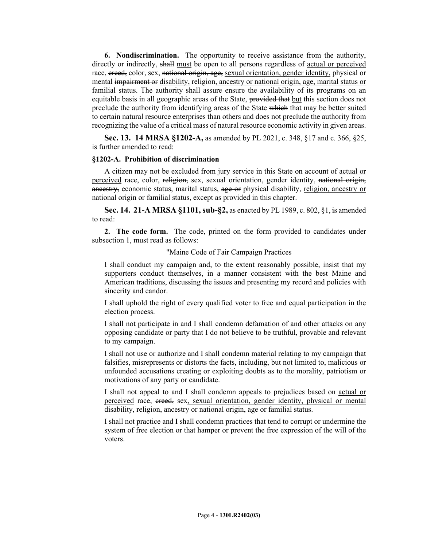**6. Nondiscrimination.** The opportunity to receive assistance from the authority, directly or indirectly, shall must be open to all persons regardless of actual or perceived race, ereed, color, sex, national origin, age, sexual orientation, gender identity, physical or mental impairment or disability, religion, ancestry or national origin, age, marital status or familial status. The authority shall assure ensure the availability of its programs on an equitable basis in all geographic areas of the State, provided that but this section does not preclude the authority from identifying areas of the State which that may be better suited to certain natural resource enterprises than others and does not preclude the authority from recognizing the value of a critical mass of natural resource economic activity in given areas.

**Sec. 13. 14 MRSA §1202-A,** as amended by PL 2021, c. 348, §17 and c. 366, §25, is further amended to read:

#### **§1202-A. Prohibition of discrimination**

A citizen may not be excluded from jury service in this State on account of actual or perceived race, color, religion, sex, sexual orientation, gender identity, national origin, ancestry, economic status, marital status, age or physical disability, religion, ancestry or national origin or familial status, except as provided in this chapter.

**Sec. 14. 21-A MRSA §1101, sub-§2,** as enacted by PL 1989, c. 802, §1, is amended to read:

**2. The code form.** The code, printed on the form provided to candidates under subsection 1, must read as follows:

## "Maine Code of Fair Campaign Practices

I shall conduct my campaign and, to the extent reasonably possible, insist that my supporters conduct themselves, in a manner consistent with the best Maine and American traditions, discussing the issues and presenting my record and policies with sincerity and candor.

I shall uphold the right of every qualified voter to free and equal participation in the election process.

I shall not participate in and I shall condemn defamation of and other attacks on any opposing candidate or party that I do not believe to be truthful, provable and relevant to my campaign.

I shall not use or authorize and I shall condemn material relating to my campaign that falsifies, misrepresents or distorts the facts, including, but not limited to, malicious or unfounded accusations creating or exploiting doubts as to the morality, patriotism or motivations of any party or candidate.

I shall not appeal to and I shall condemn appeals to prejudices based on actual or perceived race, creed, sex, sexual orientation, gender identity, physical or mental disability, religion, ancestry or national origin, age or familial status.

I shall not practice and I shall condemn practices that tend to corrupt or undermine the system of free election or that hamper or prevent the free expression of the will of the voters.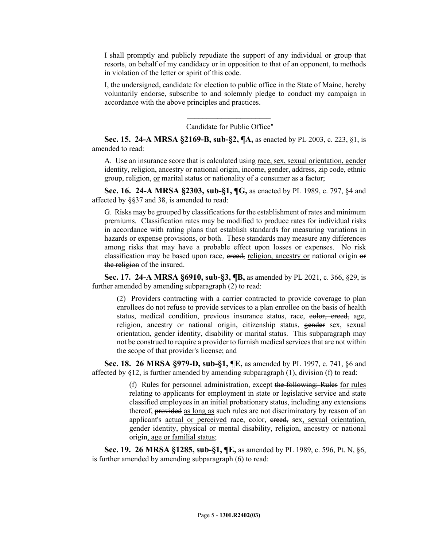I shall promptly and publicly repudiate the support of any individual or group that resorts, on behalf of my candidacy or in opposition to that of an opponent, to methods in violation of the letter or spirit of this code.

I, the undersigned, candidate for election to public office in the State of Maine, hereby voluntarily endorse, subscribe to and solemnly pledge to conduct my campaign in accordance with the above principles and practices.

> $\mathcal{L}_\text{max}$ Candidate for Public Office"

**Sec. 15. 24-A MRSA §2169-B, sub-§2, ¶A,** as enacted by PL 2003, c. 223, §1, is amended to read:

A. Use an insurance score that is calculated using race, sex, sexual orientation, gender identity, religion, ancestry or national origin, income, gender, address, zip code, ethnic group, religion, or marital status or nationality of a consumer as a factor;

**Sec. 16. 24-A MRSA §2303, sub-§1, ¶G,** as enacted by PL 1989, c. 797, §4 and affected by §§37 and 38, is amended to read:

G. Risks may be grouped by classifications for the establishment of rates and minimum premiums. Classification rates may be modified to produce rates for individual risks in accordance with rating plans that establish standards for measuring variations in hazards or expense provisions, or both. These standards may measure any differences among risks that may have a probable effect upon losses or expenses. No risk classification may be based upon race, creed, religion, ancestry or national origin or the religion of the insured.

**Sec. 17. 24-A MRSA §6910, sub-§3, ¶B,** as amended by PL 2021, c. 366, §29, is further amended by amending subparagraph (2) to read:

(2) Providers contracting with a carrier contracted to provide coverage to plan enrollees do not refuse to provide services to a plan enrollee on the basis of health status, medical condition, previous insurance status, race, eolor, creed, age, religion, ancestry or national origin, citizenship status, gender sex, sexual orientation, gender identity, disability or marital status. This subparagraph may not be construed to require a provider to furnish medical services that are not within the scope of that provider's license; and

**Sec. 18. 26 MRSA §979-D, sub-§1, ¶E,** as amended by PL 1997, c. 741, §6 and affected by §12, is further amended by amending subparagraph (1), division (f) to read:

> (f) Rules for personnel administration, except the following: Rules for rules relating to applicants for employment in state or legislative service and state classified employees in an initial probationary status, including any extensions thereof, provided as long as such rules are not discriminatory by reason of an applicant's actual or perceived race, color, ereed, sex, sexual orientation, gender identity, physical or mental disability, religion, ancestry or national origin, age or familial status;

**Sec. 19. 26 MRSA §1285, sub-§1, ¶E,** as amended by PL 1989, c. 596, Pt. N, §6, is further amended by amending subparagraph (6) to read: